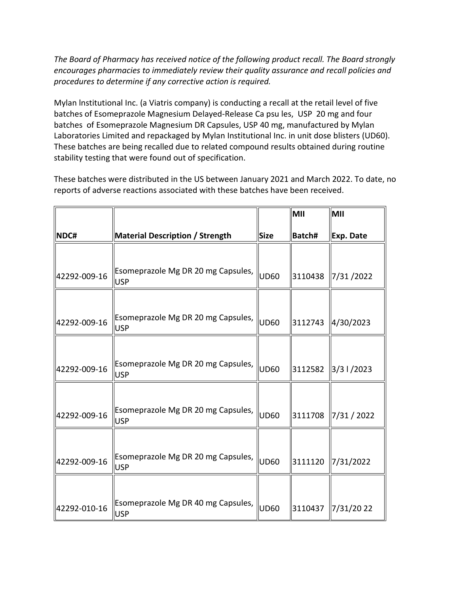*The Board of Pharmacy has received notice of the following product recall. The Board strongly encourages pharmacies to immediately review their quality assurance and recall policies and procedures to determine if any corrective action is required.*

Mylan lnstitutional Inc. (a Viatris company) is conducting a recall at the retail level of five batches of Esomeprazole Magnesium Delayed-Release Ca psu les, USP 20 mg and four batches of Esomeprazole Magnesium DR Capsules, USP 40 mg, manufactured by Mylan Laboratories Limited and repackaged by Mylan Institutional Inc. in unit dose blisters (UD60). These batches are being recalled due to related compound results obtained during routine stability testing that were found out of specification.

These batches were distributed in the US between January 2021 and March 2022. To date, no reports of adverse reactions associated with these batches have been received.

|              |                                                  |             | MII     | MII                                |
|--------------|--------------------------------------------------|-------------|---------|------------------------------------|
| NDC#         | <b>Material Description / Strength</b>           | <b>Size</b> | Batch#  | Exp. Date                          |
|              |                                                  |             |         |                                    |
| 42292-009-16 | Esomeprazole Mg DR 20 mg Capsules,<br><b>USP</b> | <b>UD60</b> | 3110438 | 7/31/2022                          |
|              |                                                  |             |         |                                    |
| 42292-009-16 | Esomeprazole Mg DR 20 mg Capsules,<br><b>USP</b> | lud60       | 3112743 | 4/30/2023                          |
|              |                                                  |             |         |                                    |
| 42292-009-16 | Esomeprazole Mg DR 20 mg Capsules,<br><b>USP</b> | <b>UD60</b> | 3112582 | $\left  \frac{3}{3} \right $ /2023 |
|              |                                                  |             |         |                                    |
| 42292-009-16 | Esomeprazole Mg DR 20 mg Capsules,<br><b>USP</b> | UD60        | 3111708 | 7/31 / 2022                        |
|              |                                                  |             |         |                                    |
| 42292-009-16 | Esomeprazole Mg DR 20 mg Capsules,<br><b>USP</b> | <b>UD60</b> | 3111120 | 7/31/2022                          |
|              |                                                  |             |         |                                    |
| 42292-010-16 | Esomeprazole Mg DR 40 mg Capsules,<br><b>USP</b> | <b>UD60</b> | 3110437 | 7/31/2022                          |